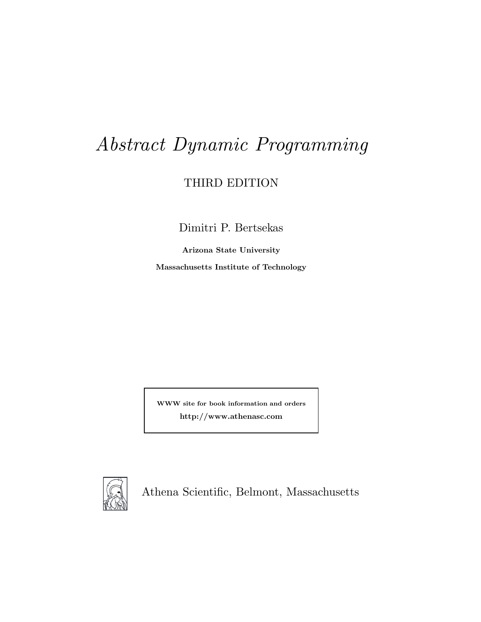# Abstract Dynamic Programming

### THIRD EDITION

Dimitri P. Bertsekas

Arizona State University

Massachusetts Institute of Technology

WWW site for book information and orders

http://www.athenasc.com



Athena Scientific, Belmont, Massachusetts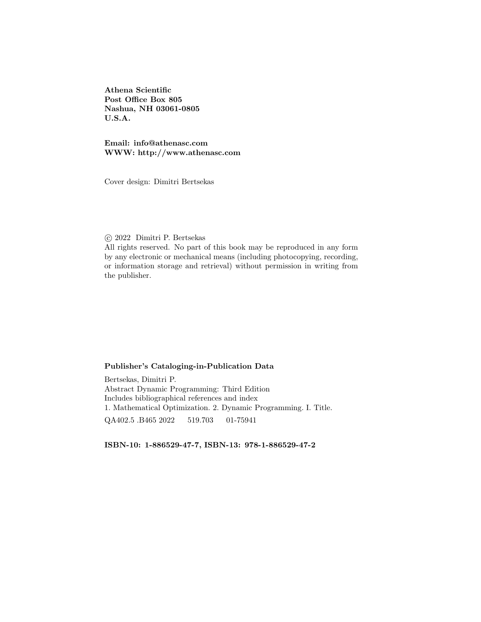Athena Scientific Post Office Box 805 Nashua, NH 03061-0805 U.S.A.

Email: info@athenasc.com WWW: http://www.athenasc.com

Cover design: Dimitri Bertsekas

#### c 2022 Dimitri P. Bertsekas

All rights reserved. No part of this book may be reproduced in any form by any electronic or mechanical means (including photocopying, recording, or information storage and retrieval) without permission in writing from the publisher.

#### Publisher's Cataloging-in-Publication Data

Bertsekas, Dimitri P. Abstract Dynamic Programming: Third Edition Includes bibliographical references and index 1. Mathematical Optimization. 2. Dynamic Programming. I. Title. QA402.5 .B465 2022 519.703 01-75941

ISBN-10: 1-886529-47-7, ISBN-13: 978-1-886529-47-2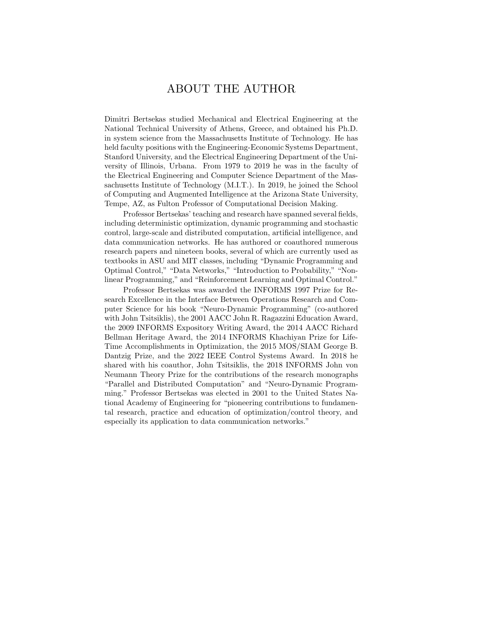### ABOUT THE AUTHOR

Dimitri Bertsekas studied Mechanical and Electrical Engineering at the National Technical University of Athens, Greece, and obtained his Ph.D. in system science from the Massachusetts Institute of Technology. He has held faculty positions with the Engineering-Economic Systems Department, Stanford University, and the Electrical Engineering Department of the University of Illinois, Urbana. From 1979 to 2019 he was in the faculty of the Electrical Engineering and Computer Science Department of the Massachusetts Institute of Technology (M.I.T.). In 2019, he joined the School of Computing and Augmented Intelligence at the Arizona State University, Tempe, AZ, as Fulton Professor of Computational Decision Making.

Professor Bertsekas' teaching and research have spanned several fields, including deterministic optimization, dynamic programming and stochastic control, large-scale and distributed computation, artificial intelligence, and data communication networks. He has authored or coauthored numerous research papers and nineteen books, several of which are currently used as textbooks in ASU and MIT classes, including "Dynamic Programming and Optimal Control," "Data Networks," "Introduction to Probability," "Nonlinear Programming," and "Reinforcement Learning and Optimal Control."

Professor Bertsekas was awarded the INFORMS 1997 Prize for Research Excellence in the Interface Between Operations Research and Computer Science for his book "Neuro-Dynamic Programming" (co-authored with John Tsitsiklis), the 2001 AACC John R. Ragazzini Education Award, the 2009 INFORMS Expository Writing Award, the 2014 AACC Richard Bellman Heritage Award, the 2014 INFORMS Khachiyan Prize for Life-Time Accomplishments in Optimization, the 2015 MOS/SIAM George B. Dantzig Prize, and the 2022 IEEE Control Systems Award. In 2018 he shared with his coauthor, John Tsitsiklis, the 2018 INFORMS John von Neumann Theory Prize for the contributions of the research monographs "Parallel and Distributed Computation" and "Neuro-Dynamic Programming." Professor Bertsekas was elected in 2001 to the United States National Academy of Engineering for "pioneering contributions to fundamental research, practice and education of optimization/control theory, and especially its application to data communication networks."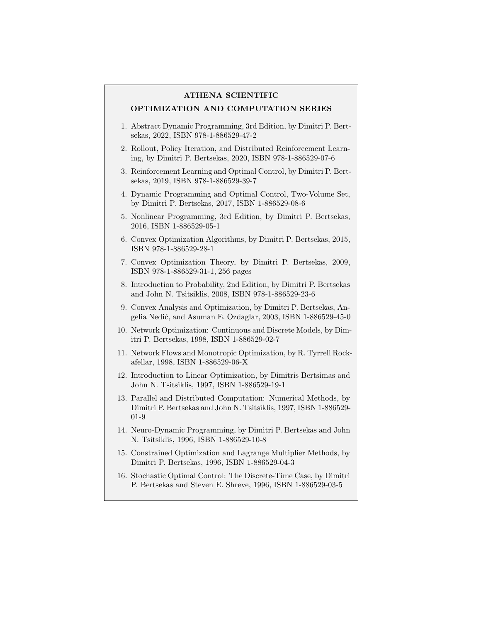#### ATHENA SCIENTIFIC

#### OPTIMIZATION AND COMPUTATION SERIES

- 1. Abstract Dynamic Programming, 3rd Edition, by Dimitri P. Bertsekas, 2022, ISBN 978-1-886529-47-2
- 2. Rollout, Policy Iteration, and Distributed Reinforcement Learning, by Dimitri P. Bertsekas, 2020, ISBN 978-1-886529-07-6
- 3. Reinforcement Learning and Optimal Control, by Dimitri P. Bertsekas, 2019, ISBN 978-1-886529-39-7
- 4. Dynamic Programming and Optimal Control, Two-Volume Set, by Dimitri P. Bertsekas, 2017, ISBN 1-886529-08-6
- 5. Nonlinear Programming, 3rd Edition, by Dimitri P. Bertsekas, 2016, ISBN 1-886529-05-1
- 6. Convex Optimization Algorithms, by Dimitri P. Bertsekas, 2015, ISBN 978-1-886529-28-1
- 7. Convex Optimization Theory, by Dimitri P. Bertsekas, 2009, ISBN 978-1-886529-31-1, 256 pages
- 8. Introduction to Probability, 2nd Edition, by Dimitri P. Bertsekas and John N. Tsitsiklis, 2008, ISBN 978-1-886529-23-6
- 9. Convex Analysis and Optimization, by Dimitri P. Bertsekas, Angelia Nedić, and Asuman E. Ozdaglar, 2003, ISBN 1-886529-45-0
- 10. Network Optimization: Continuous and Discrete Models, by Dimitri P. Bertsekas, 1998, ISBN 1-886529-02-7
- 11. Network Flows and Monotropic Optimization, by R. Tyrrell Rockafellar, 1998, ISBN 1-886529-06-X
- 12. Introduction to Linear Optimization, by Dimitris Bertsimas and John N. Tsitsiklis, 1997, ISBN 1-886529-19-1
- 13. Parallel and Distributed Computation: Numerical Methods, by Dimitri P. Bertsekas and John N. Tsitsiklis, 1997, ISBN 1-886529- 01-9
- 14. Neuro-Dynamic Programming, by Dimitri P. Bertsekas and John N. Tsitsiklis, 1996, ISBN 1-886529-10-8
- 15. Constrained Optimization and Lagrange Multiplier Methods, by Dimitri P. Bertsekas, 1996, ISBN 1-886529-04-3
- 16. Stochastic Optimal Control: The Discrete-Time Case, by Dimitri P. Bertsekas and Steven E. Shreve, 1996, ISBN 1-886529-03-5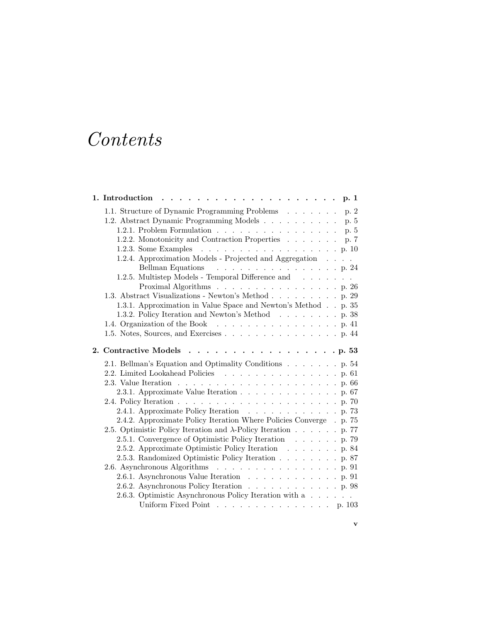# Contents

| 1.1. Structure of Dynamic Programming Problems p. 2                                   |
|---------------------------------------------------------------------------------------|
| 1.2. Abstract Dynamic Programming Models p. 5                                         |
| 1.2.1. Problem Formulation $\ldots$ $\ldots$ $\ldots$ $\ldots$ $\ldots$ $\ldots$ p. 5 |
| 1.2.2. Monotonicity and Contraction Properties p. 7                                   |
|                                                                                       |
| 1.2.4. Approximation Models - Projected and Aggregation                               |
| Bellman Equations p. 24                                                               |
| 1.2.5. Multistep Models - Temporal Difference and                                     |
|                                                                                       |
| 1.3. Abstract Visualizations - Newton's Method p. 29                                  |
| 1.3.1. Approximation in Value Space and Newton's Method p. 35                         |
| 1.3.2. Policy Iteration and Newton's Method p. 38                                     |
|                                                                                       |
|                                                                                       |
|                                                                                       |
|                                                                                       |
| 2.1. Bellman's Equation and Optimality Conditions p. 54                               |
|                                                                                       |
|                                                                                       |
|                                                                                       |
|                                                                                       |
| 2.4.1. Approximate Policy Iteration 73                                                |
| 2.4.2. Approximate Policy Iteration Where Policies Converge . p. 75                   |
| 2.5. Optimistic Policy Iteration and $\lambda$ -Policy Iteration p. 77                |
| 2.5.1. Convergence of Optimistic Policy Iteration p. 79                               |
| 2.5.2. Approximate Optimistic Policy Iteration p. 84                                  |
| 2.5.3. Randomized Optimistic Policy Iteration p. 87                                   |
| 2.6. Asynchronous Algorithms p. 91                                                    |
| 2.6.1. Asynchronous Value Iteration p. 91                                             |
| 2.6.2. Asynchronous Policy Iteration $\ldots \ldots \ldots \ldots \ldots$ . p. 98     |
| 2.6.3. Optimistic Asynchronous Policy Iteration with a<br>Uniform Fixed Point p. 103  |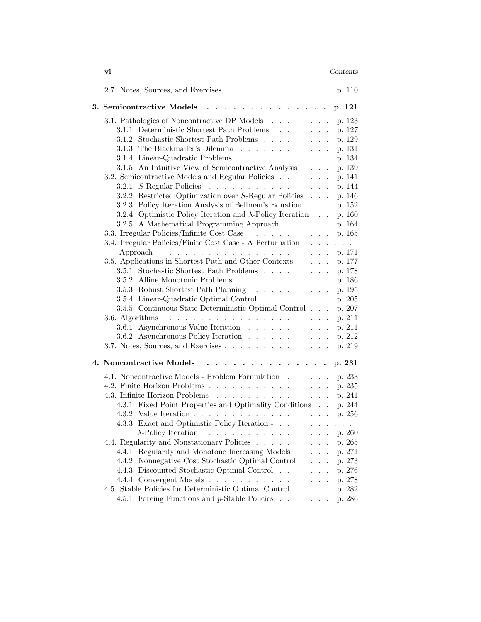| Contents |
|----------|
|          |

| 2.7. Notes, Sources, and Exercises p. 110                                                                                                                                                                                                  |                                                                 |
|--------------------------------------------------------------------------------------------------------------------------------------------------------------------------------------------------------------------------------------------|-----------------------------------------------------------------|
| 3. Semicontractive Models<br>. p. 121                                                                                                                                                                                                      |                                                                 |
| 3.1. Pathologies of Noncontractive DP Models                                                                                                                                                                                               | p. 123                                                          |
| 3.1.1. Deterministic Shortest Path Problems $\ldots \ldots$                                                                                                                                                                                | p. 127                                                          |
| 3.1.2. Stochastic Shortest Path Problems $\ldots$                                                                                                                                                                                          | p. 129                                                          |
| 3.1.3. The Blackmailer's Dilemma $\ldots$                                                                                                                                                                                                  | p. 131                                                          |
| 3.1.4. Linear-Quadratic Problems                                                                                                                                                                                                           | p. 134                                                          |
| 3.1.5. An Intuitive View of Semicontractive Analysis                                                                                                                                                                                       | p. 139                                                          |
| 3.2. Semicontractive Models and Regular Policies                                                                                                                                                                                           | p. 141                                                          |
| 3.2.1. S-Regular Policies                                                                                                                                                                                                                  | p. 144                                                          |
| 3.2.2. Restricted Optimization over $S$ -Regular Policies $\ldots$                                                                                                                                                                         | p. 146                                                          |
| 3.2.3. Policy Iteration Analysis of Bellman's Equation                                                                                                                                                                                     | p. 152                                                          |
| 3.2.4. Optimistic Policy Iteration and $\lambda$ -Policy Iteration                                                                                                                                                                         | p. 160                                                          |
| 3.2.5. A Mathematical Programming Approach                                                                                                                                                                                                 | p. 164                                                          |
| 3.3. Irregular Policies/Infinite Cost Case                                                                                                                                                                                                 | p. 165                                                          |
| 3.4. Irregular Policies/Finite Cost Case - A Perturbation                                                                                                                                                                                  | $\mathcal{L}^{\pm}$ , $\mathcal{L}^{\pm}$ , $\mathcal{L}^{\pm}$ |
| Approach<br>the contract of the contract of the contract of the contract of the contract of the contract of the contract of the contract of the contract of the contract of the contract of the contract of the contract of the contract o | p. 171                                                          |
| 3.5. Applications in Shortest Path and Other Contexts $\quad . \quad . \quad .$                                                                                                                                                            | p. 177                                                          |
| 3.5.1. Stochastic Shortest Path Problems $\ldots \ldots \ldots$                                                                                                                                                                            | p. 178                                                          |
| 3.5.2. Affine Monotonic Problems $\ldots$                                                                                                                                                                                                  | p. 186                                                          |
| 3.5.3. Robust Shortest Path Planning $\ldots \ldots \ldots$                                                                                                                                                                                | p. 195                                                          |
| 3.5.4. Linear-Quadratic Optimal Control                                                                                                                                                                                                    | p. 205                                                          |
| 3.5.5. Continuous-State Deterministic Optimal Control                                                                                                                                                                                      | p. 207                                                          |
|                                                                                                                                                                                                                                            | p. 211                                                          |
| 3.6.1. Asynchronous Value Iteration $\ldots$                                                                                                                                                                                               | p. 211                                                          |
| 3.6.2. Asynchronous Policy Iteration $\ldots$                                                                                                                                                                                              | p. 212                                                          |
| 3.7. Notes, Sources, and Exercises                                                                                                                                                                                                         | p. 219                                                          |
|                                                                                                                                                                                                                                            |                                                                 |
| 4. Noncontractive Models<br>.                                                                                                                                                                                                              | p. 231                                                          |
| 4.1. Noncontractive Models - Problem Formulation                                                                                                                                                                                           | p. 233                                                          |
| 4.2. Finite Horizon Problems                                                                                                                                                                                                               | p. 235                                                          |
| 4.3. Infinite Horizon Problems                                                                                                                                                                                                             | p. 241                                                          |
| 4.3.1. Fixed Point Properties and Optimality Conditions                                                                                                                                                                                    | p. 244                                                          |
| 4.3.2. Value Iteration $\ldots$ $\ldots$ $\ldots$ $\ldots$ $\ldots$ $\ldots$ $\ldots$                                                                                                                                                      | p. 256                                                          |
| 4.3.3. Exact and Optimistic Policy Iteration -                                                                                                                                                                                             |                                                                 |
|                                                                                                                                                                                                                                            |                                                                 |
| 4.4. Regularity and Nonstationary Policies                                                                                                                                                                                                 | p. 265                                                          |
| 4.4.1. Regularity and Monotone Increasing Models                                                                                                                                                                                           | p. 271                                                          |
| 4.4.2. Nonnegative Cost Stochastic Optimal Control<br>$\mathcal{A}$ , and $\mathcal{A}$ , and $\mathcal{A}$                                                                                                                                | p. 273                                                          |
| 4.4.3. Discounted Stochastic Optimal Control                                                                                                                                                                                               | p. 276                                                          |
| 4.4.4. Convergent Models                                                                                                                                                                                                                   | p. 278                                                          |
| 4.5. Stable Policies for Deterministic Optimal Control                                                                                                                                                                                     | p. 282                                                          |
| 4.5.1. Forcing Functions and p-Stable Policies                                                                                                                                                                                             | p. 286                                                          |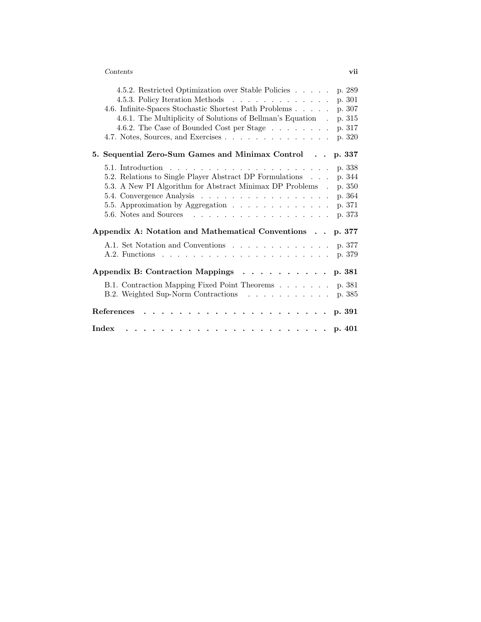| Contents | Vll |
|----------|-----|
|----------|-----|

| 4.5.2. Restricted Optimization over Stable Policies<br>4.5.3. Policy Iteration Methods<br>4.6. Infinite-Spaces Stochastic Shortest Path Problems<br>4.6.1. The Multiplicity of Solutions of Bellman's Equation.<br>4.6.2. The Case of Bounded Cost per Stage<br>4.7. Notes, Sources, and Exercises | p. 289<br>p. 301<br>p. 307<br>p. 315<br>p. 317<br>p. 320 |  |  |
|----------------------------------------------------------------------------------------------------------------------------------------------------------------------------------------------------------------------------------------------------------------------------------------------------|----------------------------------------------------------|--|--|
| 5. Sequential Zero-Sum Games and Minimax Control                                                                                                                                                                                                                                                   | p. 337                                                   |  |  |
|                                                                                                                                                                                                                                                                                                    | p. 338                                                   |  |  |
| 5.2. Relations to Single Player Abstract DP Formulations                                                                                                                                                                                                                                           | p. 344                                                   |  |  |
| 5.3. A New PI Algorithm for Abstract Minimax DP Problems.                                                                                                                                                                                                                                          | p. 350                                                   |  |  |
| 5.4. Convergence Analysis                                                                                                                                                                                                                                                                          | p. 364                                                   |  |  |
| 5.5. Approximation by Aggregation                                                                                                                                                                                                                                                                  | p. 371                                                   |  |  |
| 5.6. Notes and Sources $\ldots$ $\ldots$ $\ldots$ $\ldots$ $\ldots$ $\ldots$ $\ldots$                                                                                                                                                                                                              | p. 373                                                   |  |  |
| Appendix A: Notation and Mathematical Conventions p. 377                                                                                                                                                                                                                                           |                                                          |  |  |
| A.1. Set Notation and Conventions                                                                                                                                                                                                                                                                  | p. 377                                                   |  |  |
|                                                                                                                                                                                                                                                                                                    | p. 379                                                   |  |  |
| Appendix B: Contraction Mappings p. 381                                                                                                                                                                                                                                                            |                                                          |  |  |
| B.1. Contraction Mapping Fixed Point Theorems                                                                                                                                                                                                                                                      | p. 381                                                   |  |  |
| B.2. Weighted Sup-Norm Contractions                                                                                                                                                                                                                                                                | p. 385                                                   |  |  |
|                                                                                                                                                                                                                                                                                                    |                                                          |  |  |
| Index                                                                                                                                                                                                                                                                                              |                                                          |  |  |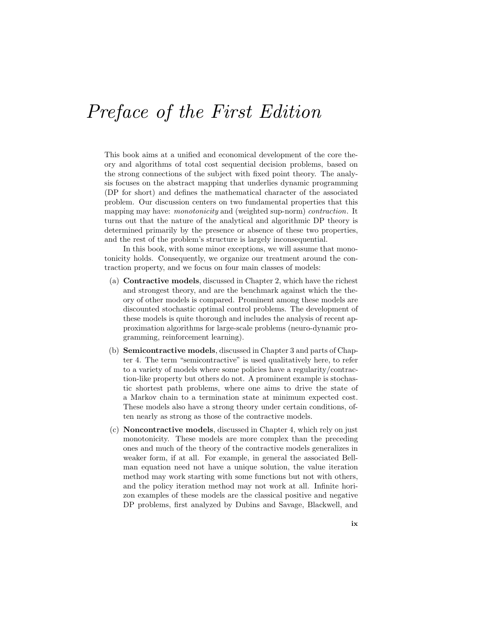## Preface of the First Edition

This book aims at a unified and economical development of the core theory and algorithms of total cost sequential decision problems, based on the strong connections of the subject with fixed point theory. The analysis focuses on the abstract mapping that underlies dynamic programming (DP for short) and defines the mathematical character of the associated problem. Our discussion centers on two fundamental properties that this mapping may have: *monotonicity* and (weighted sup-norm) *contraction*. It turns out that the nature of the analytical and algorithmic DP theory is determined primarily by the presence or absence of these two properties, and the rest of the problem's structure is largely inconsequential.

In this book, with some minor exceptions, we will assume that monotonicity holds. Consequently, we organize our treatment around the contraction property, and we focus on four main classes of models:

- (a) Contractive models, discussed in Chapter 2, which have the richest and strongest theory, and are the benchmark against which the theory of other models is compared. Prominent among these models are discounted stochastic optimal control problems. The development of these models is quite thorough and includes the analysis of recent approximation algorithms for large-scale problems (neuro-dynamic programming, reinforcement learning).
- (b) Semicontractive models, discussed in Chapter 3 and parts of Chapter 4. The term "semicontractive" is used qualitatively here, to refer to a variety of models where some policies have a regularity/contraction-like property but others do not. A prominent example is stochastic shortest path problems, where one aims to drive the state of a Markov chain to a termination state at minimum expected cost. These models also have a strong theory under certain conditions, often nearly as strong as those of the contractive models.
- (c) Noncontractive models, discussed in Chapter 4, which rely on just monotonicity. These models are more complex than the preceding ones and much of the theory of the contractive models generalizes in weaker form, if at all. For example, in general the associated Bellman equation need not have a unique solution, the value iteration method may work starting with some functions but not with others, and the policy iteration method may not work at all. Infinite horizon examples of these models are the classical positive and negative DP problems, first analyzed by Dubins and Savage, Blackwell, and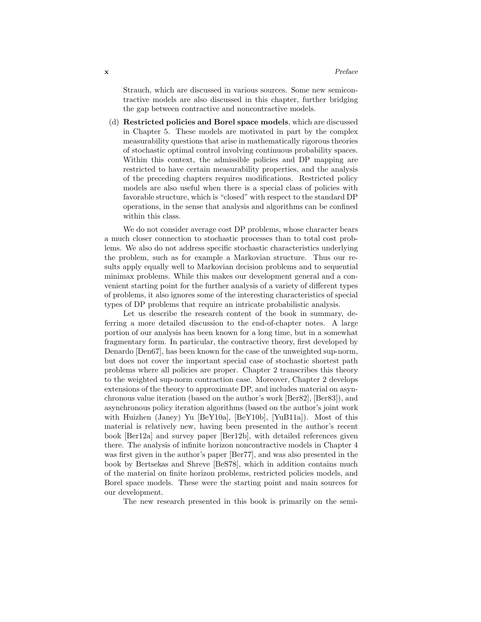Strauch, which are discussed in various sources. Some new semicontractive models are also discussed in this chapter, further bridging the gap between contractive and noncontractive models.

(d) Restricted policies and Borel space models, which are discussed in Chapter 5. These models are motivated in part by the complex measurability questions that arise in mathematically rigorous theories of stochastic optimal control involving continuous probability spaces. Within this context, the admissible policies and DP mapping are restricted to have certain measurability properties, and the analysis of the preceding chapters requires modifications. Restricted policy models are also useful when there is a special class of policies with favorable structure, which is "closed" with respect to the standard DP operations, in the sense that analysis and algorithms can be confined within this class.

We do not consider average cost DP problems, whose character bears a much closer connection to stochastic processes than to total cost problems. We also do not address specific stochastic characteristics underlying the problem, such as for example a Markovian structure. Thus our results apply equally well to Markovian decision problems and to sequential minimax problems. While this makes our development general and a convenient starting point for the further analysis of a variety of different types of problems, it also ignores some of the interesting characteristics of special types of DP problems that require an intricate probabilistic analysis.

Let us describe the research content of the book in summary, deferring a more detailed discussion to the end-of-chapter notes. A large portion of our analysis has been known for a long time, but in a somewhat fragmentary form. In particular, the contractive theory, first developed by Denardo [Den67], has been known for the case of the unweighted sup-norm, but does not cover the important special case of stochastic shortest path problems where all policies are proper. Chapter 2 transcribes this theory to the weighted sup-norm contraction case. Moreover, Chapter 2 develops extensions of the theory to approximate DP, and includes material on asynchronous value iteration (based on the author's work [Ber82], [Ber83]), and asynchronous policy iteration algorithms (based on the author's joint work with Huizhen (Janey) Yu [BeY10a], [BeY10b], [YuB11a]). Most of this material is relatively new, having been presented in the author's recent book [Ber12a] and survey paper [Ber12b], with detailed references given there. The analysis of infinite horizon noncontractive models in Chapter 4 was first given in the author's paper [Ber77], and was also presented in the book by Bertsekas and Shreve [BeS78], which in addition contains much of the material on finite horizon problems, restricted policies models, and Borel space models. These were the starting point and main sources for our development.

The new research presented in this book is primarily on the semi-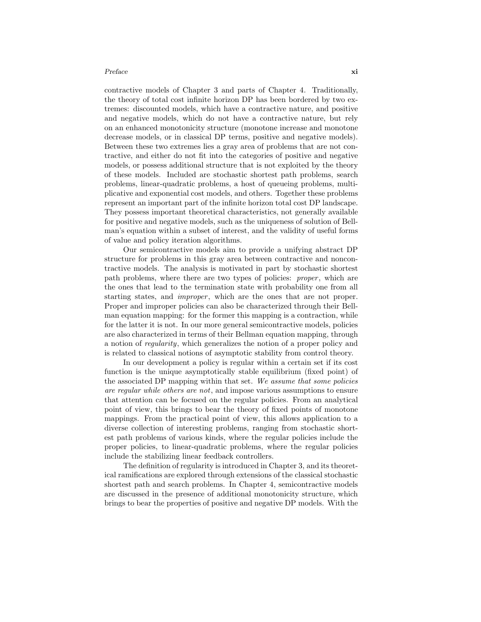#### Preface xi

contractive models of Chapter 3 and parts of Chapter 4. Traditionally, the theory of total cost infinite horizon DP has been bordered by two extremes: discounted models, which have a contractive nature, and positive and negative models, which do not have a contractive nature, but rely on an enhanced monotonicity structure (monotone increase and monotone decrease models, or in classical DP terms, positive and negative models). Between these two extremes lies a gray area of problems that are not contractive, and either do not fit into the categories of positive and negative models, or possess additional structure that is not exploited by the theory of these models. Included are stochastic shortest path problems, search problems, linear-quadratic problems, a host of queueing problems, multiplicative and exponential cost models, and others. Together these problems represent an important part of the infinite horizon total cost DP landscape. They possess important theoretical characteristics, not generally available for positive and negative models, such as the uniqueness of solution of Bellman's equation within a subset of interest, and the validity of useful forms of value and policy iteration algorithms.

Our semicontractive models aim to provide a unifying abstract DP structure for problems in this gray area between contractive and noncontractive models. The analysis is motivated in part by stochastic shortest path problems, where there are two types of policies: *proper*, which are the ones that lead to the termination state with probability one from all starting states, and *improper*, which are the ones that are not proper. Proper and improper policies can also be characterized through their Bellman equation mapping: for the former this mapping is a contraction, while for the latter it is not. In our more general semicontractive models, policies are also characterized in terms of their Bellman equation mapping, through a notion of regularity, which generalizes the notion of a proper policy and is related to classical notions of asymptotic stability from control theory.

In our development a policy is regular within a certain set if its cost function is the unique asymptotically stable equilibrium (fixed point) of the associated DP mapping within that set. We assume that some policies are regular while others are not, and impose various assumptions to ensure that attention can be focused on the regular policies. From an analytical point of view, this brings to bear the theory of fixed points of monotone mappings. From the practical point of view, this allows application to a diverse collection of interesting problems, ranging from stochastic shortest path problems of various kinds, where the regular policies include the proper policies, to linear-quadratic problems, where the regular policies include the stabilizing linear feedback controllers.

The definition of regularity is introduced in Chapter 3, and its theoretical ramifications are explored through extensions of the classical stochastic shortest path and search problems. In Chapter 4, semicontractive models are discussed in the presence of additional monotonicity structure, which brings to bear the properties of positive and negative DP models. With the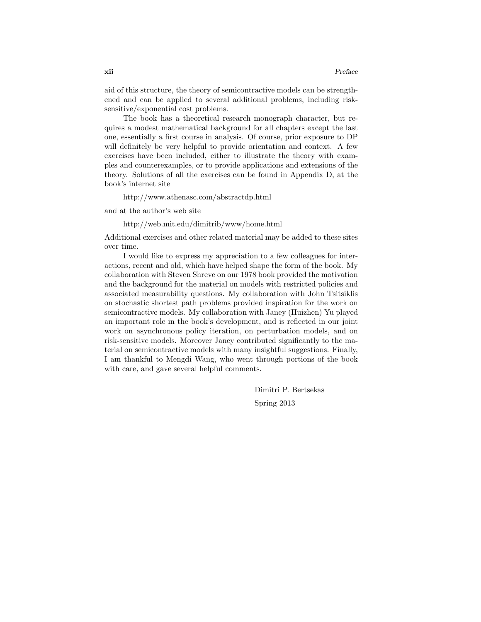aid of this structure, the theory of semicontractive models can be strengthened and can be applied to several additional problems, including risksensitive/exponential cost problems.

The book has a theoretical research monograph character, but requires a modest mathematical background for all chapters except the last one, essentially a first course in analysis. Of course, prior exposure to DP will definitely be very helpful to provide orientation and context. A few exercises have been included, either to illustrate the theory with examples and counterexamples, or to provide applications and extensions of the theory. Solutions of all the exercises can be found in Appendix D, at the book's internet site

http://www.athenasc.com/abstractdp.html

and at the author's web site

http://web.mit.edu/dimitrib/www/home.html

Additional exercises and other related material may be added to these sites over time.

I would like to express my appreciation to a few colleagues for interactions, recent and old, which have helped shape the form of the book. My collaboration with Steven Shreve on our 1978 book provided the motivation and the background for the material on models with restricted policies and associated measurability questions. My collaboration with John Tsitsiklis on stochastic shortest path problems provided inspiration for the work on semicontractive models. My collaboration with Janey (Huizhen) Yu played an important role in the book's development, and is reflected in our joint work on asynchronous policy iteration, on perturbation models, and on risk-sensitive models. Moreover Janey contributed significantly to the material on semicontractive models with many insightful suggestions. Finally, I am thankful to Mengdi Wang, who went through portions of the book with care, and gave several helpful comments.

> Dimitri P. Bertsekas Spring 2013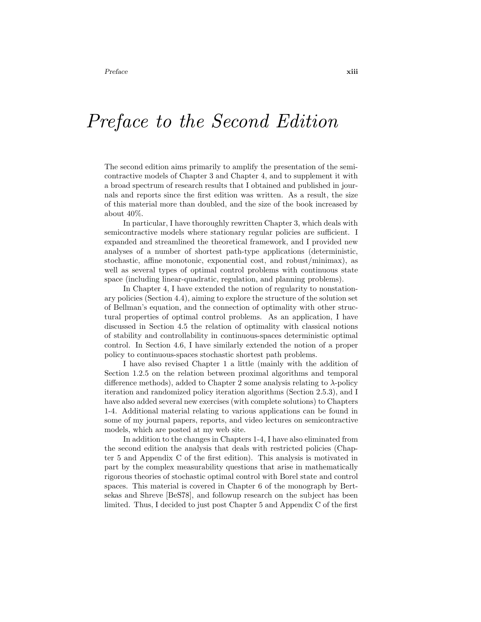## Preface to the Second Edition

The second edition aims primarily to amplify the presentation of the semicontractive models of Chapter 3 and Chapter 4, and to supplement it with a broad spectrum of research results that I obtained and published in journals and reports since the first edition was written. As a result, the size of this material more than doubled, and the size of the book increased by about 40%.

In particular, I have thoroughly rewritten Chapter 3, which deals with semicontractive models where stationary regular policies are sufficient. I expanded and streamlined the theoretical framework, and I provided new analyses of a number of shortest path-type applications (deterministic, stochastic, affine monotonic, exponential cost, and robust/minimax), as well as several types of optimal control problems with continuous state space (including linear-quadratic, regulation, and planning problems).

In Chapter 4, I have extended the notion of regularity to nonstationary policies (Section 4.4), aiming to explore the structure of the solution set of Bellman's equation, and the connection of optimality with other structural properties of optimal control problems. As an application, I have discussed in Section 4.5 the relation of optimality with classical notions of stability and controllability in continuous-spaces deterministic optimal control. In Section 4.6, I have similarly extended the notion of a proper policy to continuous-spaces stochastic shortest path problems.

I have also revised Chapter 1 a little (mainly with the addition of Section 1.2.5 on the relation between proximal algorithms and temporal difference methods), added to Chapter 2 some analysis relating to  $\lambda$ -policy iteration and randomized policy iteration algorithms (Section 2.5.3), and I have also added several new exercises (with complete solutions) to Chapters 1-4. Additional material relating to various applications can be found in some of my journal papers, reports, and video lectures on semicontractive models, which are posted at my web site.

In addition to the changes in Chapters 1-4, I have also eliminated from the second edition the analysis that deals with restricted policies (Chapter 5 and Appendix C of the first edition). This analysis is motivated in part by the complex measurability questions that arise in mathematically rigorous theories of stochastic optimal control with Borel state and control spaces. This material is covered in Chapter 6 of the monograph by Bertsekas and Shreve [BeS78], and followup research on the subject has been limited. Thus, I decided to just post Chapter 5 and Appendix C of the first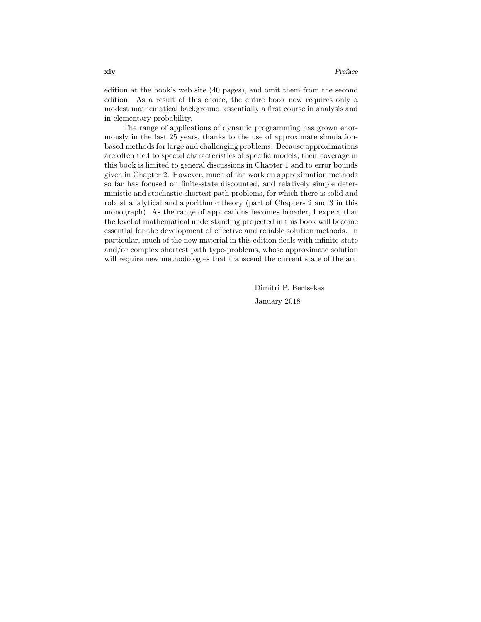edition at the book's web site (40 pages), and omit them from the second edition. As a result of this choice, the entire book now requires only a modest mathematical background, essentially a first course in analysis and in elementary probability.

The range of applications of dynamic programming has grown enormously in the last 25 years, thanks to the use of approximate simulationbased methods for large and challenging problems. Because approximations are often tied to special characteristics of specific models, their coverage in this book is limited to general discussions in Chapter 1 and to error bounds given in Chapter 2. However, much of the work on approximation methods so far has focused on finite-state discounted, and relatively simple deterministic and stochastic shortest path problems, for which there is solid and robust analytical and algorithmic theory (part of Chapters 2 and 3 in this monograph). As the range of applications becomes broader, I expect that the level of mathematical understanding projected in this book will become essential for the development of effective and reliable solution methods. In particular, much of the new material in this edition deals with infinite-state and/or complex shortest path type-problems, whose approximate solution will require new methodologies that transcend the current state of the art.

> Dimitri P. Bertsekas January 2018